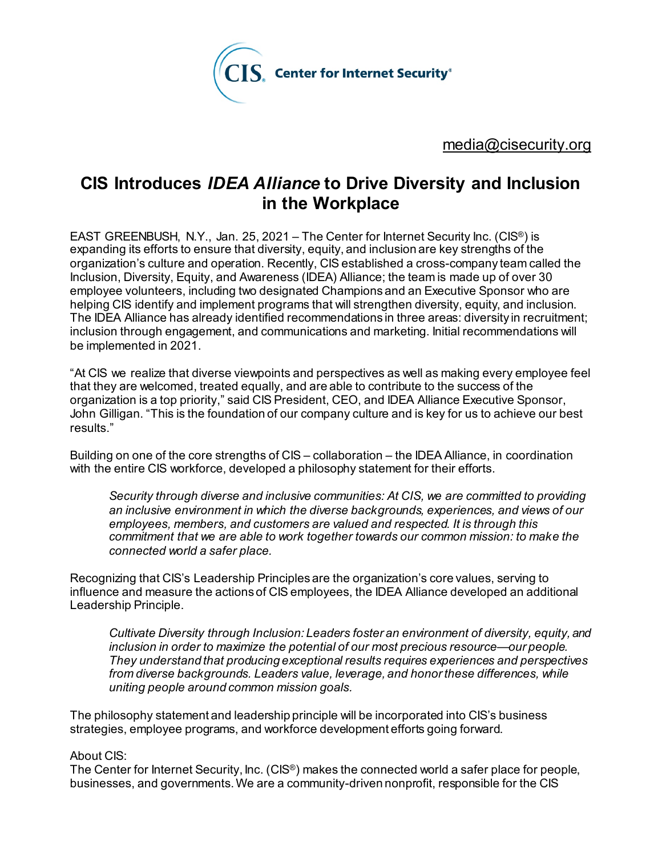

[media@cisecurity.org](mailto:media@cisecurity.org)

## **CIS Introduces** *IDEA Alliance* **to Drive Diversity and Inclusion in the Workplace**

EAST GREENBUSH, N.Y., Jan. 25, 2021 – The Center for Internet Security Inc. (CIS<sup>®</sup>) is expanding its efforts to ensure that diversity, equity, and inclusion are key strengths of the organization's culture and operation. Recently, CIS established a cross-company team called the Inclusion, Diversity, Equity, and Awareness (IDEA) Alliance; the team is made up of over 30 employee volunteers, including two designated Champions and an Executive Sponsor who are helping CIS identify and implement programs that will strengthen diversity, equity, and inclusion. The IDEA Alliance has already identified recommendations in three areas: diversity in recruitment; inclusion through engagement, and communications and marketing. Initial recommendations will be implemented in 2021.

"At CIS we realize that diverse viewpoints and perspectives as well as making every employee feel that they are welcomed, treated equally, and are able to contribute to the success of the organization is a top priority," said CIS President, CEO, and IDEA Alliance Executive Sponsor, John Gilligan. "This is the foundation of our company culture and is key for us to achieve our best results."

Building on one of the core strengths of CIS – collaboration – the IDEA Alliance, in coordination with the entire CIS workforce, developed a philosophy statement for their efforts.

*Security through diverse and inclusive communities: At CIS, we are committed to providing an inclusive environment in which the diverse backgrounds, experiences, and views of our employees, members, and customers are valued and respected. It is through this commitment that we are able to work together towards our common mission: to make the connected world a safer place.*

Recognizing that CIS's Leadership Principles are the organization's core values, serving to influence and measure the actions of CIS employees, the IDEA Alliance developed an additional Leadership Principle.

*Cultivate Diversity through Inclusion: Leaders foster an environment of diversity, equity, and inclusion in order to maximize the potential of our most precious resource—our people. They understand that producing exceptional results requires experiences and perspectives from diverse backgrounds. Leaders value, leverage, and honor these differences, while uniting people around common mission goals.*

The philosophy statement and leadership principle will be incorporated into CIS's business strategies, employee programs, and workforce development efforts going forward.

## About CIS:

The Center for Internet Security, Inc. (CIS®) makes the connected world a safer place for people, businesses, and governments. We are a community-driven nonprofit, responsible for the CIS